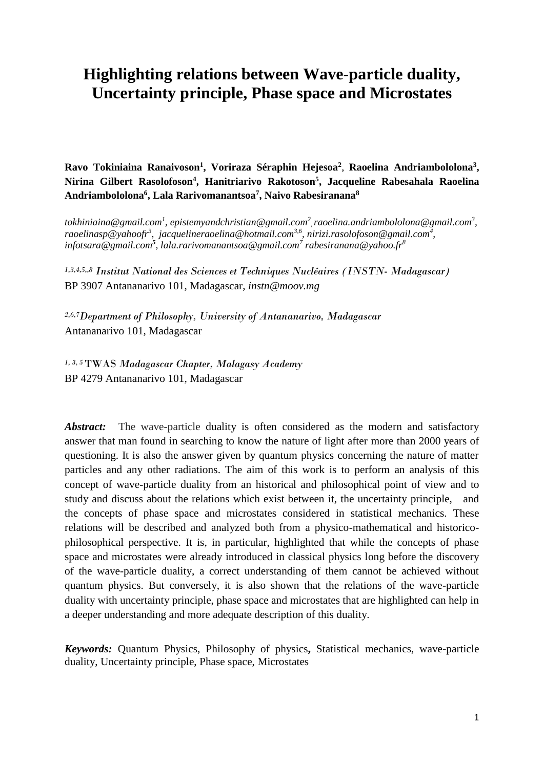# **Highlighting relations between Wave-particle duality, Uncertainty principle, Phase space and Microstates**

**Ravo Tokiniaina Ranaivoson<sup>1</sup> , Voriraza Séraphin Hejesoa<sup>2</sup>** , **Raoelina Andriambololona<sup>3</sup> , Nirina Gilbert Rasolofoson<sup>4</sup> , Hanitriarivo Rakotoson<sup>5</sup> , Jacqueline Rabesahala Raoelina Andriambololona<sup>6</sup> , Lala Rarivomanantsoa<sup>7</sup> , Naivo Rabesiranana<sup>8</sup>** 

*[tokhiniaina@gmail.com](mailto:tokhiniaina@gmail.com1)<sup>1</sup> , [epistemyandchristian@gmail.com](mailto:epistemyandchristian@gmail.com2)<sup>2</sup> ,[raoelina.andriambololona@gmail.com](mailto:raoelina.andriambololona@gmail.com3)<sup>3</sup> , [raoelinasp@yahoofr](mailto:raoelinasp@yahoo.fr2)<sup>3</sup> , [jacquelineraoelina@hotmail.com](mailto:tokhiniaina@gmail.com)3,6 , nirizi.rasolofoson@gmail.com<sup>4</sup> , [infotsara@gmail.com](mailto:infotsara@gmail.com3)<sup>5</sup> , lala.rarivomanantsoa@gmail.com<sup>7</sup> rabesiranana@yahoo.fr<sup>8</sup>*

*1,3,4,5,,8 Institut National des Sciences et Techniques Nucléaires (INSTN- Madagascar)* BP 3907 Antananarivo 101, Madagascar, *[instn@moov.mg](mailto:tokhiniaina@gmail.com)*

*2,6,7Department of Philosophy, University of Antananarivo, Madagascar*  Antananarivo 101, Madagascar

*1, 3, 5* TWAS *Madagascar Chapter, Malagasy Academy* BP 4279 Antananarivo 101, Madagascar

*Abstract:* The wave-particle duality is often considered as the modern and satisfactory answer that man found in searching to know the nature of light after more than 2000 years of questioning. It is also the answer given by quantum physics concerning the nature of matter particles and any other radiations. The aim of this work is to perform an analysis of this concept of wave-particle duality from an historical and philosophical point of view and to study and discuss about the relations which exist between it, the uncertainty principle, and the concepts of phase space and microstates considered in statistical mechanics. These relations will be described and analyzed both from a physico-mathematical and historicophilosophical perspective. It is, in particular, highlighted that while the concepts of phase space and microstates were already introduced in classical physics long before the discovery of the wave-particle duality, a correct understanding of them cannot be achieved without quantum physics. But conversely, it is also shown that the relations of the wave-particle duality with uncertainty principle, phase space and microstates that are highlighted can help in a deeper understanding and more adequate description of this duality.

*Keywords:* Quantum Physics, Philosophy of physics**,** Statistical mechanics, wave-particle duality, Uncertainty principle, Phase space, Microstates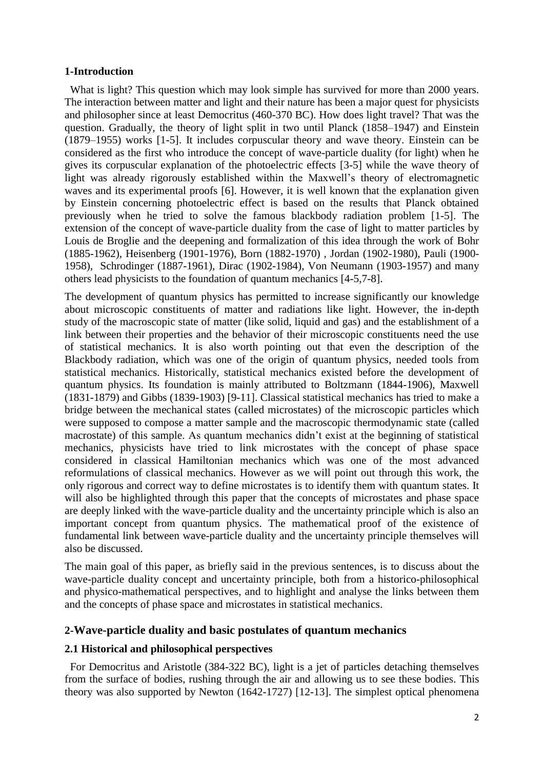# **1-Introduction**

What is light? This question which may look simple has survived for more than 2000 years. The interaction between matter and light and their nature has been a major quest for physicists and philosopher since at least Democritus (460-370 BC). How does light travel? That was the question. Gradually, the theory of light split in two until Planck (1858–1947) and Einstein (1879–1955) works [1-5]. It includes corpuscular theory and wave theory. Einstein can be considered as the first who introduce the concept of wave-particle duality (for light) when he gives its corpuscular explanation of the photoelectric effects [3-5] while the wave theory of light was already rigorously established within the Maxwell's theory of electromagnetic waves and its experimental proofs [6]. However, it is well known that the explanation given by Einstein concerning photoelectric effect is based on the results that Planck obtained previously when he tried to solve the famous blackbody radiation problem [1-5]. The extension of the concept of wave-particle duality from the case of light to matter particles by Louis de Broglie and the deepening and formalization of this idea through the work of Bohr (1885-1962), Heisenberg (1901-1976), Born (1882-1970) , Jordan (1902-1980), Pauli (1900- 1958), Schrodinger (1887-1961), Dirac (1902-1984), Von Neumann (1903-1957) and many others lead physicists to the foundation of quantum mechanics [4-5,7-8].

The development of quantum physics has permitted to increase significantly our knowledge about microscopic constituents of matter and radiations like light. However, the in-depth study of the macroscopic state of matter (like solid, liquid and gas) and the establishment of a link between their properties and the behavior of their microscopic constituents need the use of statistical mechanics. It is also worth pointing out that even the description of the Blackbody radiation, which was one of the origin of quantum physics, needed tools from statistical mechanics. Historically, statistical mechanics existed before the development of quantum physics. Its foundation is mainly attributed to Boltzmann (1844-1906), Maxwell (1831-1879) and Gibbs (1839-1903) [9-11]. Classical statistical mechanics has tried to make a bridge between the mechanical states (called microstates) of the microscopic particles which were supposed to compose a matter sample and the macroscopic thermodynamic state (called macrostate) of this sample. As quantum mechanics didn't exist at the beginning of statistical mechanics, physicists have tried to link microstates with the concept of phase space considered in classical Hamiltonian mechanics which was one of the most advanced reformulations of classical mechanics. However as we will point out through this work, the only rigorous and correct way to define microstates is to identify them with quantum states. It will also be highlighted through this paper that the concepts of microstates and phase space are deeply linked with the wave-particle duality and the uncertainty principle which is also an important concept from quantum physics. The mathematical proof of the existence of fundamental link between wave-particle duality and the uncertainty principle themselves will also be discussed.

The main goal of this paper, as briefly said in the previous sentences, is to discuss about the wave-particle duality concept and uncertainty principle, both from a historico-philosophical and physico-mathematical perspectives, and to highlight and analyse the links between them and the concepts of phase space and microstates in statistical mechanics.

# **2-Wave-particle duality and basic postulates of quantum mechanics**

# **2.1 Historical and philosophical perspectives**

 For Democritus and Aristotle (384-322 BC), light is a jet of particles detaching themselves from the surface of bodies, rushing through the air and allowing us to see these bodies. This theory was also supported by Newton (1642-1727) [12-13]. The simplest optical phenomena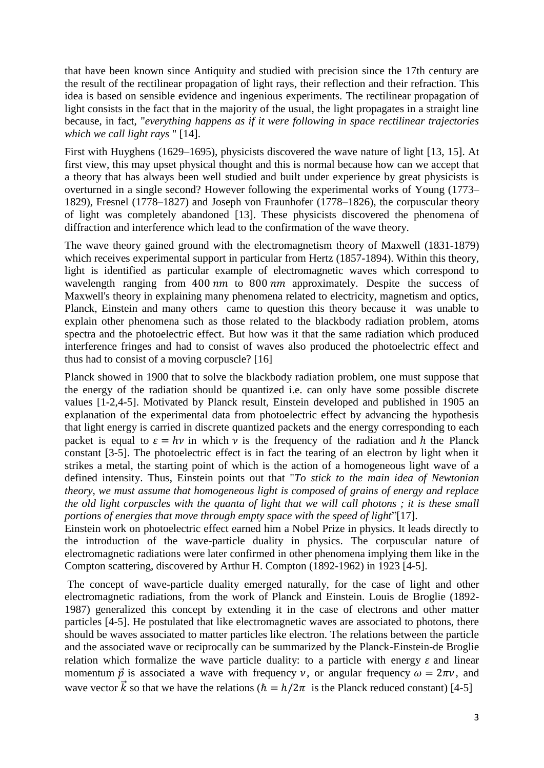that have been known since Antiquity and studied with precision since the 17th century are the result of the rectilinear propagation of light rays, their reflection and their refraction. This idea is based on sensible evidence and ingenious experiments. The rectilinear propagation of light consists in the fact that in the majority of the usual, the light propagates in a straight line because, in fact, "*everything happens as if it were following in space rectilinear trajectories which we call light rays* " [14].

First with Huyghens (1629–1695), physicists discovered the wave nature of light [13, 15]. At first view, this may upset physical thought and this is normal because how can we accept that a theory that has always been well studied and built under experience by great physicists is overturned in a single second? However following the experimental works of Young (1773– 1829), Fresnel (1778–1827) and Joseph von Fraunhofer (1778–1826), the corpuscular theory of light was completely abandoned [13]. These physicists discovered the phenomena of diffraction and interference which lead to the confirmation of the wave theory.

The wave theory gained ground with the electromagnetism theory of Maxwell (1831-1879) which receives experimental support in particular from Hertz (1857-1894). Within this theory, light is identified as particular example of electromagnetic waves which correspond to wavelength ranging from  $400 \, \text{nm}$  to  $800 \, \text{nm}$  approximately. Despite the success of Maxwell's theory in explaining many phenomena related to electricity, magnetism and optics, Planck, Einstein and many others came to question this theory because it was unable to explain other phenomena such as those related to the blackbody radiation problem, atoms spectra and the photoelectric effect. But how was it that the same radiation which produced interference fringes and had to consist of waves also produced the photoelectric effect and thus had to consist of a moving corpuscle? [16]

Planck showed in 1900 that to solve the blackbody radiation problem, one must suppose that the energy of the radiation should be quantized i.e. can only have some possible discrete values [1-2,4-5]. Motivated by Planck result, Einstein developed and published in 1905 an explanation of the experimental data from photoelectric effect by advancing the hypothesis that light energy is carried in discrete quantized packets and the energy corresponding to each packet is equal to  $\varepsilon = hv$  in which v is the frequency of the radiation and h the Planck constant [3-5]. The photoelectric effect is in fact the tearing of an electron by light when it strikes a metal, the starting point of which is the action of a homogeneous light wave of a defined intensity. Thus, Einstein points out that "*To stick to the main idea of Newtonian theory, we must assume that homogeneous light is composed of grains of energy and replace the old light corpuscles with the quanta of light that we will call photons ; it is these small portions of energies that move through empty space with the speed of light*"[17].

Einstein work on photoelectric effect earned him a Nobel Prize in physics. It leads directly to the introduction of the wave-particle duality in physics. The corpuscular nature of electromagnetic radiations were later confirmed in other phenomena implying them like in the Compton scattering, discovered by Arthur H. Compton (1892-1962) in 1923 [4-5].

The concept of wave-particle duality emerged naturally, for the case of light and other electromagnetic radiations, from the work of Planck and Einstein. Louis de Broglie (1892- 1987) generalized this concept by extending it in the case of electrons and other matter particles [4-5]. He postulated that like electromagnetic waves are associated to photons, there should be waves associated to matter particles like electron. The relations between the particle and the associated wave or reciprocally can be summarized by the Planck-Einstein-de Broglie relation which formalize the wave particle duality: to a particle with energy  $\varepsilon$  and linear momentum  $\vec{p}$  is associated a wave with frequency  $\nu$ , or angular frequency  $\omega = 2\pi \nu$ , and wave vector  $\vec{k}$  so that we have the relations ( $\hbar = h/2\pi$  is the Planck reduced constant) [4-5]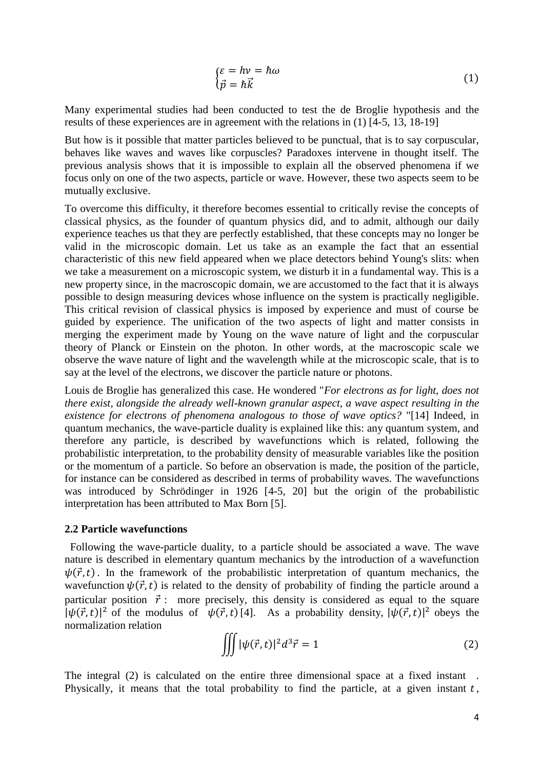$$
\begin{cases} \varepsilon = h\nu = \hbar\omega \\ \vec{p} = \hbar\vec{k} \end{cases} \tag{1}
$$

Many experimental studies had been conducted to test the de Broglie hypothesis and the results of these experiences are in agreement with the relations in (1) [4-5, 13, 18-19]

But how is it possible that matter particles believed to be punctual, that is to say corpuscular, behaves like waves and waves like corpuscles? Paradoxes intervene in thought itself. The previous analysis shows that it is impossible to explain all the observed phenomena if we focus only on one of the two aspects, particle or wave. However, these two aspects seem to be mutually exclusive.

To overcome this difficulty, it therefore becomes essential to critically revise the concepts of classical physics, as the founder of quantum physics did, and to admit, although our daily experience teaches us that they are perfectly established, that these concepts may no longer be valid in the microscopic domain. Let us take as an example the fact that an essential characteristic of this new field appeared when we place detectors behind Young's slits: when we take a measurement on a microscopic system, we disturb it in a fundamental way. This is a new property since, in the macroscopic domain, we are accustomed to the fact that it is always possible to design measuring devices whose influence on the system is practically negligible. This critical revision of classical physics is imposed by experience and must of course be guided by experience. The unification of the two aspects of light and matter consists in merging the experiment made by Young on the wave nature of light and the corpuscular theory of Planck or Einstein on the photon. In other words, at the macroscopic scale we observe the wave nature of light and the wavelength while at the microscopic scale, that is to say at the level of the electrons, we discover the particle nature or photons.

Louis de Broglie has generalized this case. He wondered "*For electrons as for light, does not there exist, alongside the already well-known granular aspect, a wave aspect resulting in the existence for electrons of phenomena analogous to those of wave optics?* "[14] Indeed, in quantum mechanics, the wave-particle duality is explained like this: any quantum system, and therefore any particle, is described by wavefunctions which is related, following the probabilistic interpretation, to the probability density of measurable variables like the position or the momentum of a particle. So before an observation is made, the position of the particle, for instance can be considered as described in terms of probability waves. The wavefunctions was introduced by Schrödinger in 1926 [4-5, 20] but the origin of the probabilistic interpretation has been attributed to Max Born [5].

#### **2.2 Particle wavefunctions**

 Following the wave-particle duality, to a particle should be associated a wave. The wave nature is described in elementary quantum mechanics by the introduction of a wavefunction  $\psi(\vec{r},t)$ . In the framework of the probabilistic interpretation of quantum mechanics, the wavefunction  $\psi(\vec{r},t)$  is related to the density of probability of finding the particle around a particular position  $\vec{r}$ : more precisely, this density is considered as equal to the square  $|\psi(\vec{r},t)|^2$  of the modulus of  $\psi(\vec{r},t)$  [4]. As a probability density,  $|\psi(\vec{r},t)|^2$  obeys the normalization relation

$$
\iiint |\psi(\vec{r},t)|^2 d^3 \vec{r} = 1
$$
\n(2)

The integral (2) is calculated on the entire three dimensional space at a fixed instant . Physically, it means that the total probability to find the particle, at a given instant  $t$ ,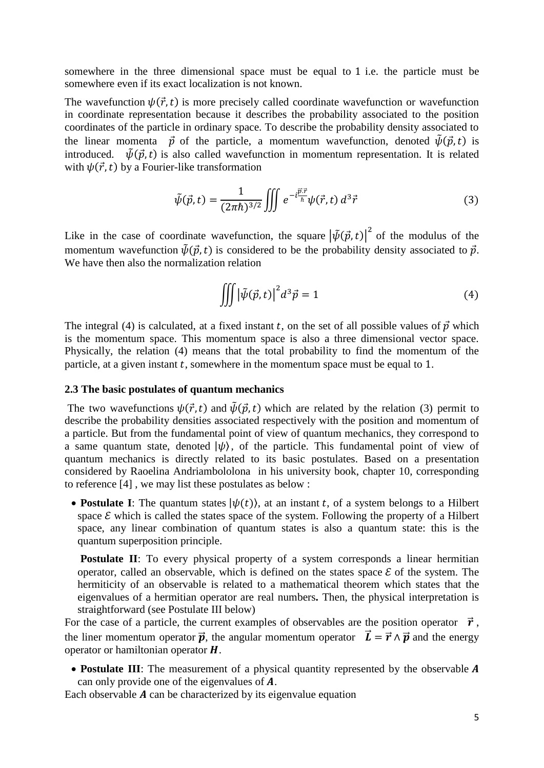somewhere in the three dimensional space must be equal to 1 i.e. the particle must be somewhere even if its exact localization is not known.

The wavefunction  $\psi(\vec{r},t)$  is more precisely called coordinate wavefunction or wavefunction in coordinate representation because it describes the probability associated to the position coordinates of the particle in ordinary space. To describe the probability density associated to the linear momenta  $\vec{p}$  of the particle, a momentum wavefunction, denoted  $\tilde{\psi}(\vec{p},t)$  is introduced.  $\tilde{\psi}(\vec{p},t)$  is also called wavefunction in momentum representation. It is related with  $\psi(\vec{r},t)$  by a Fourier-like transformation

$$
\tilde{\psi}(\vec{p},t) = \frac{1}{(2\pi\hbar)^{3/2}} \iiint e^{-i\frac{\vec{p}\cdot\vec{r}}{\hbar}} \psi(\vec{r},t) d^3\vec{r}
$$
\n(3)

Like in the case of coordinate wavefunction, the square  $|\tilde{\psi}(\vec{p},t)|^2$  of the modulus of the momentum wavefunction  $\tilde{\psi}(\vec{p},t)$  is considered to be the probability density associated to  $\vec{p}$ . We have then also the normalization relation

$$
\iiint \left| \tilde{\psi}(\vec{p},t) \right|^2 d^3 \vec{p} = 1 \tag{4}
$$

The integral (4) is calculated, at a fixed instant t, on the set of all possible values of  $\vec{p}$  which is the momentum space. This momentum space is also a three dimensional vector space. Physically, the relation (4) means that the total probability to find the momentum of the particle, at a given instant  $t$ , somewhere in the momentum space must be equal to 1.

## **2.3 The basic postulates of quantum mechanics**

The two wavefunctions  $\psi(\vec{r},t)$  and  $\tilde{\psi}(\vec{p},t)$  which are related by the relation (3) permit to describe the probability densities associated respectively with the position and momentum of a particle. But from the fundamental point of view of quantum mechanics, they correspond to a same quantum state, denoted  $|\psi\rangle$ , of the particle. This fundamental point of view of quantum mechanics is directly related to its basic postulates. Based on a presentation considered by Raoelina Andriambololona in his university book, chapter 10, corresponding to reference [4] , we may list these postulates as below :

• **Postulate I**: The quantum states  $|\psi(t)\rangle$ , at an instant t, of a system belongs to a Hilbert space  $\mathcal E$  which is called the states space of the system. Following the property of a Hilbert space, any linear combination of quantum states is also a quantum state: this is the quantum superposition principle.

**Postulate II:** To every physical property of a system corresponds a linear hermitian operator, called an observable, which is defined on the states space  $\mathcal E$  of the system. The hermiticity of an observable is related to a mathematical theorem which states that the eigenvalues of a hermitian operator are real numbers**.** Then, the physical interpretation is straightforward (see Postulate III below)

For the case of a particle, the current examples of observables are the position operator  $\vec{r}$ , the liner momentum operator  $\vec{p}$ , the angular momentum operator  $\vec{L} = \vec{r} \wedge \vec{p}$  and the energy operator or hamiltonian operator  $H$ .

• Postulate III: The measurement of a physical quantity represented by the observable A can only provide one of the eigenvalues of  $A$ .

Each observable  $\vec{A}$  can be characterized by its eigenvalue equation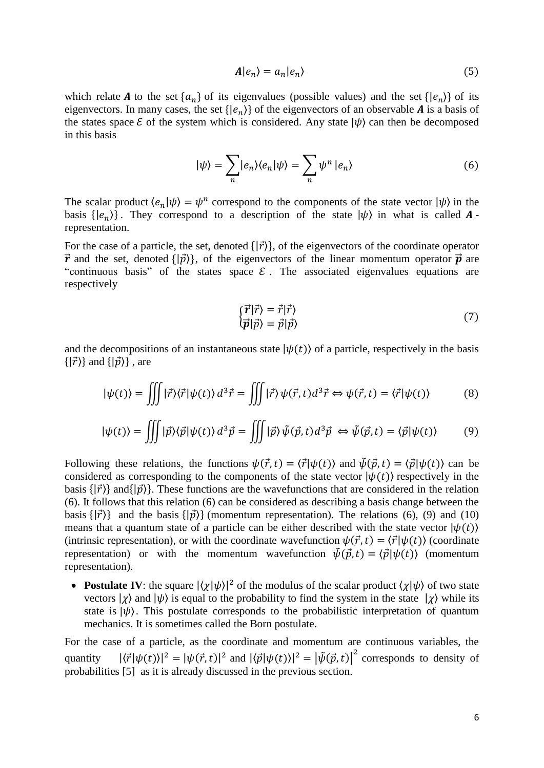$$
A|e_n\rangle = a_n|e_n\rangle \tag{5}
$$

which relate **A** to the set  ${a_n}$  of its eigenvalues (possible values) and the set  ${ |e_n\rangle }$  of its eigenvectors. In many cases, the set  $\{|e_n\rangle\}$  of the eigenvectors of an observable **A** is a basis of the states space  $\mathcal E$  of the system which is considered. Any state  $|\psi\rangle$  can then be decomposed in this basis

$$
|\psi\rangle = \sum_{n} |e_{n}\rangle\langle e_{n}|\psi\rangle = \sum_{n} \psi^{n} |e_{n}\rangle
$$
 (6)

The scalar product  $\langle e_n | \psi \rangle = \psi^n$  correspond to the components of the state vector  $|\psi \rangle$  in the basis  $\{ |e_n\rangle \}$ . They correspond to a description of the state  $|\psi\rangle$  in what is called **A**representation.

For the case of a particle, the set, denoted  $\{|\vec{r}\rangle\}$ , of the eigenvectors of the coordinate operator  $\vec{r}$  and the set, denoted  $\{\vert \vec{p} \rangle\}$ , of the eigenvectors of the linear momentum operator  $\vec{p}$  are "continuous basis" of the states space  $\mathcal E$ . The associated eigenvalues equations are respectively

$$
\begin{aligned}\n\{\vec{r}|\vec{r}\rangle &= \vec{r}|\vec{r}\rangle\\ \n\langle \vec{p}|\vec{p}\rangle &= \vec{p}|\vec{p}\rangle\n\end{aligned} (7)
$$

and the decompositions of an instantaneous state  $|\psi(t)\rangle$  of a particle, respectively in the basis  $\{|\vec{r}\rangle\}$  and  $\{|\vec{p}\rangle\}$ , are

$$
|\psi(t)\rangle = \iiint |\vec{r}\rangle\langle\vec{r}|\psi(t)\rangle d^3\vec{r} = \iiint |\vec{r}\rangle\psi(\vec{r},t)d^3\vec{r} \Leftrightarrow \psi(\vec{r},t) = \langle\vec{r}|\psi(t)\rangle \tag{8}
$$

$$
|\psi(t)\rangle = \iiint |\vec{p}\rangle\langle\vec{p}|\psi(t)\rangle d^3\vec{p} = \iiint |\vec{p}\rangle\tilde{\psi}(\vec{p},t)d^3\vec{p} \iff \tilde{\psi}(\vec{p},t) = \langle\vec{p}|\psi(t)\rangle \tag{9}
$$

Following these relations, the functions  $\psi(\vec{r},t) = \langle \vec{r} | \psi(t) \rangle$  and  $\tilde{\psi}(\vec{p},t) = \langle \vec{p} | \psi(t) \rangle$  can be considered as corresponding to the components of the state vector  $|\psi(t)\rangle$  respectively in the basis  $\{|\vec{r}\rangle\}$  and  $\{|\vec{p}\rangle\}$ . These functions are the wavefunctions that are considered in the relation (6). It follows that this relation (6) can be considered as describing a basis change between the basis  $\{|\vec{r}\rangle\}$  and the basis  $\{|\vec{p}\rangle\}$  (momentum representation). The relations (6), (9) and (10) means that a quantum state of a particle can be either described with the state vector  $|\psi(t)\rangle$ (intrinsic representation), or with the coordinate wavefunction  $\psi(\vec{r},t) = \langle \vec{r} | \psi(t) \rangle$  (coordinate representation) or with the momentum wavefunction  $\tilde{\psi}(\vec{v},t) = \langle \vec{v} | \psi(t) \rangle$  (momentum representation).

• **Postulate IV**: the square  $|\langle \chi | \psi \rangle|^2$  of the modulus of the scalar product  $\langle \chi | \psi \rangle$  of two state vectors  $|\chi\rangle$  and  $|\psi\rangle$  is equal to the probability to find the system in the state  $|\chi\rangle$  while its state is  $|\psi\rangle$ . This postulate corresponds to the probabilistic interpretation of quantum mechanics. It is sometimes called the Born postulate.

For the case of a particle, as the coordinate and momentum are continuous variables, the quantity  $|\langle \vec{r} | \psi(t) \rangle|^2 = |\psi(\vec{r}, t)|^2$  and  $|\langle \vec{p} | \psi(t) \rangle|^2 = |\tilde{\psi}(\vec{p}, t)|^2$  corresponds to density of probabilities [5] as it is already discussed in the previous section.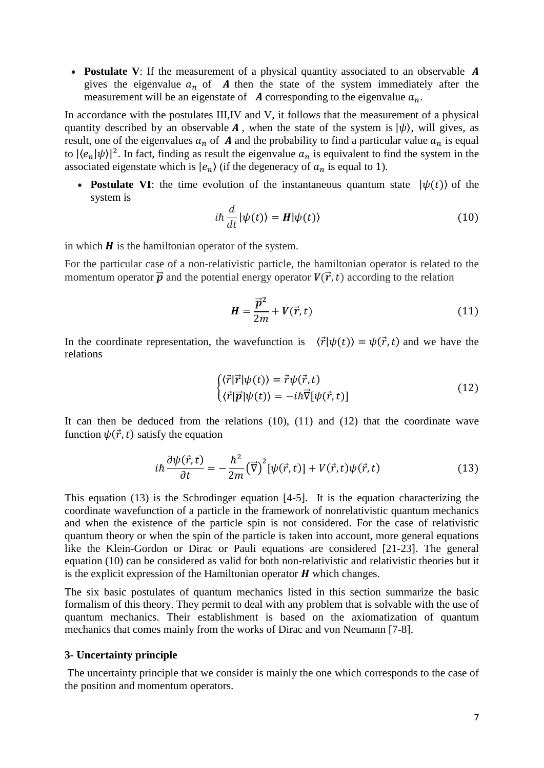• **Postulate V**: If the measurement of a physical quantity associated to an observable **A** gives the eigenvalue  $a_n$  of A then the state of the system immediately after the measurement will be an eigenstate of  $\boldsymbol{A}$  corresponding to the eigenvalue  $a_n$ .

In accordance with the postulates III,IV and V, it follows that the measurement of a physical quantity described by an observable **A**, when the state of the system is  $|\psi\rangle$ , will gives, as result, one of the eigenvalues  $a_n$  of A and the probability to find a particular value  $a_n$  is equal to  $|\langle e_n | \psi \rangle|^2$ . In fact, finding as result the eigenvalue  $a_n$  is equivalent to find the system in the associated eigenstate which is  $|e_n\rangle$  (if the degeneracy of  $a_n$  is equal to 1).

• **Postulate VI**: the time evolution of the instantaneous quantum state  $|\psi(t)\rangle$  of the system is

$$
i\hbar \frac{d}{dt} |\psi(t)\rangle = H |\psi(t)\rangle
$$
 (10)

in which  $H$  is the hamiltonian operator of the system.

For the particular case of a non-relativistic particle, the hamiltonian operator is related to the momentum operator  $\vec{p}$  and the potential energy operator  $V(\vec{r},t)$  according to the relation

$$
H = \frac{\vec{p}^2}{2m} + V(\vec{r}, t) \tag{11}
$$

In the coordinate representation, the wavefunction is  $\langle \vec{r} | \psi(t) \rangle = \psi(\vec{r}, t)$  and we have the relations

$$
\begin{cases}\n\langle \vec{r} | \vec{r} | \psi(t) \rangle = \vec{r} \psi(\vec{r}, t) \\
\langle \vec{r} | \vec{p} | \psi(t) \rangle = -i\hbar \vec{\nabla} [\psi(\vec{r}, t)]\n\end{cases}
$$
\n(12)

It can then be deduced from the relations (10), (11) and (12) that the coordinate wave function  $\psi(\vec{r},t)$  satisfy the equation

$$
i\hbar \frac{\partial \psi(\vec{r},t)}{\partial t} = -\frac{\hbar^2}{2m} (\vec{\nabla})^2 [\psi(\vec{r},t)] + V(\vec{r},t)\psi(\vec{r},t)
$$
(13)

This equation (13) is the Schrodinger equation [4-5]. It is the equation characterizing the coordinate wavefunction of a particle in the framework of nonrelativistic quantum mechanics and when the existence of the particle spin is not considered. For the case of relativistic quantum theory or when the spin of the particle is taken into account, more general equations like the Klein-Gordon or Dirac or Pauli equations are considered [21-23]. The general equation (10) can be considered as valid for both non-relativistic and relativistic theories but it is the explicit expression of the Hamiltonian operator  $H$  which changes.

The six basic postulates of quantum mechanics listed in this section summarize the basic formalism of this theory. They permit to deal with any problem that is solvable with the use of quantum mechanics. Their establishment is based on the axiomatization of quantum mechanics that comes mainly from the works of Dirac and von Neumann [7-8].

## **3- Uncertainty principle**

The uncertainty principle that we consider is mainly the one which corresponds to the case of the position and momentum operators.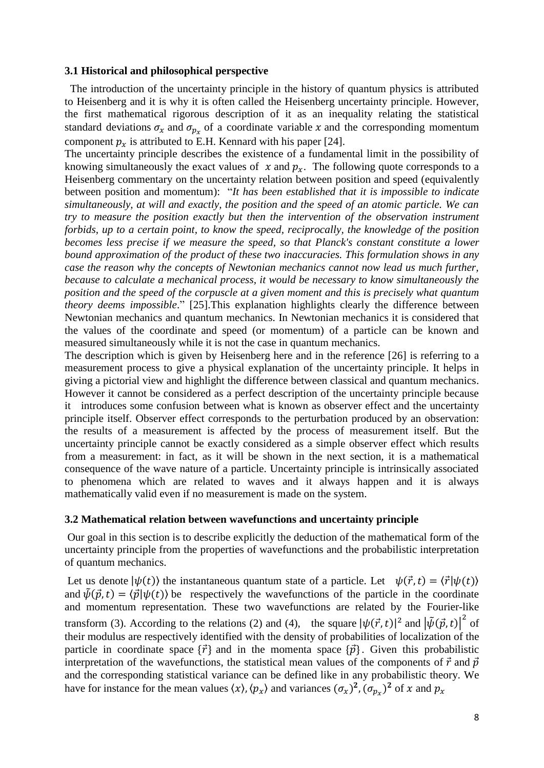# **3.1 Historical and philosophical perspective**

 The introduction of the uncertainty principle in the history of quantum physics is attributed to Heisenberg and it is why it is often called the Heisenberg uncertainty principle. However, the first mathematical rigorous description of it as an inequality relating the statistical standard deviations  $\sigma_x$  and  $\sigma_{p_x}$  of a coordinate variable x and the corresponding momentum component  $p_x$  is attributed to E.H. Kennard with his paper [24].

The uncertainty principle describes the existence of a fundamental limit in the possibility of knowing simultaneously the exact values of  $x$  and  $p_x$ . The following quote corresponds to a Heisenberg commentary on the uncertainty relation between position and speed (equivalently between position and momentum): "*It has been established that it is impossible to indicate simultaneously, at will and exactly, the position and the speed of an atomic particle. We can try to measure the position exactly but then the intervention of the observation instrument forbids, up to a certain point, to know the speed, reciprocally, the knowledge of the position becomes less precise if we measure the speed, so that Planck's constant constitute a lower bound approximation of the product of these two inaccuracies. This formulation shows in any case the reason why the concepts of Newtonian mechanics cannot now lead us much further, because to calculate a mechanical process, it would be necessary to know simultaneously the position and the speed of the corpuscle at a given moment and this is precisely what quantum theory deems impossible*." [25].This explanation highlights clearly the difference between Newtonian mechanics and quantum mechanics. In Newtonian mechanics it is considered that the values of the coordinate and speed (or momentum) of a particle can be known and measured simultaneously while it is not the case in quantum mechanics.

The description which is given by Heisenberg here and in the reference [26] is referring to a measurement process to give a physical explanation of the uncertainty principle. It helps in giving a pictorial view and highlight the difference between classical and quantum mechanics. However it cannot be considered as a perfect description of the uncertainty principle because it introduces some confusion between what is known as observer effect and the uncertainty principle itself. Observer effect corresponds to the perturbation produced by an observation: the results of a measurement is affected by the process of measurement itself. But the uncertainty principle cannot be exactly considered as a simple observer effect which results from a measurement: in fact, as it will be shown in the next section, it is a mathematical consequence of the wave nature of a particle. Uncertainty principle is intrinsically associated to phenomena which are related to waves and it always happen and it is always mathematically valid even if no measurement is made on the system.

# **3.2 Mathematical relation between wavefunctions and uncertainty principle**

Our goal in this section is to describe explicitly the deduction of the mathematical form of the uncertainty principle from the properties of wavefunctions and the probabilistic interpretation of quantum mechanics.

Let us denote  $|\psi(t)\rangle$  the instantaneous quantum state of a particle. Let  $\psi(\vec{r},t) = \langle \vec{r} | \psi(t) \rangle$ and  $\tilde{\psi}(\vec{p},t) = \langle \vec{p} | \psi(t) \rangle$  be respectively the wavefunctions of the particle in the coordinate and momentum representation. These two wavefunctions are related by the Fourier-like transform (3). According to the relations (2) and (4), the square  $|\psi(\vec{r},t)|^2$  and  $|\tilde{\psi}(\vec{p},t)|^2$  of their modulus are respectively identified with the density of probabilities of localization of the particle in coordinate space  $\{\vec{r}\}\$  and in the momenta space  $\{\vec{p}\}\$ . Given this probabilistic interpretation of the wavefunctions, the statistical mean values of the components of  $\vec{r}$  and  $\vec{p}$ and the corresponding statistical variance can be defined like in any probabilistic theory. We have for instance for the mean values  $\langle x \rangle$ ,  $\langle p_x \rangle$  and variances  $(\sigma_x)^2$ ,  $(\sigma_{p_x})^2$  of x and  $p_x$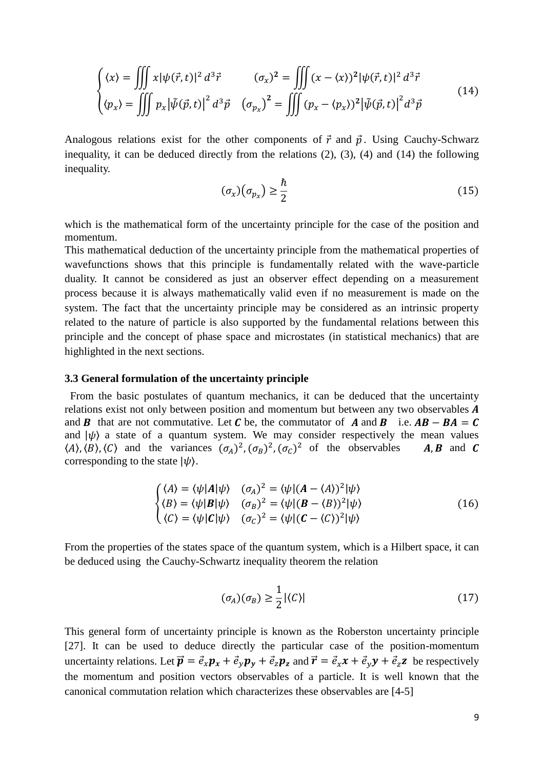$$
\begin{cases}\n\langle x \rangle = \iiint x |\psi(\vec{r}, t)|^2 d^3 \vec{r} & (\sigma_x)^2 = \iiint (x - \langle x \rangle)^2 |\psi(\vec{r}, t)|^2 d^3 \vec{r} \\
\langle p_x \rangle = \iiint p_x |\tilde{\psi}(\vec{p}, t)|^2 d^3 \vec{p} & (\sigma_{p_x})^2 = \iiint (p_x - \langle p_x \rangle)^2 |\tilde{\psi}(\vec{p}, t)|^2 d^3 \vec{p}\n\end{cases}
$$
\n(14)

Analogous relations exist for the other components of  $\vec{r}$  and  $\vec{p}$ . Using Cauchy-Schwarz inequality, it can be deduced directly from the relations (2), (3), (4) and (14) the following inequality.

$$
(\sigma_x)(\sigma_{p_x}) \ge \frac{\hbar}{2} \tag{15}
$$

which is the mathematical form of the uncertainty principle for the case of the position and momentum.

This mathematical deduction of the uncertainty principle from the mathematical properties of wavefunctions shows that this principle is fundamentally related with the wave-particle duality. It cannot be considered as just an observer effect depending on a measurement process because it is always mathematically valid even if no measurement is made on the system. The fact that the uncertainty principle may be considered as an intrinsic property related to the nature of particle is also supported by the fundamental relations between this principle and the concept of phase space and microstates (in statistical mechanics) that are highlighted in the next sections.

## **3.3 General formulation of the uncertainty principle**

 From the basic postulates of quantum mechanics, it can be deduced that the uncertainty relations exist not only between position and momentum but between any two observables  $A$ and **B** that are not commutative. Let **C** be, the commutator of **A** and **B** i.e.  $AB - BA = C$ and  $|\psi\rangle$  a state of a quantum system. We may consider respectively the mean values  $(A), (B), (C)$  and the variances  $(\sigma_A)^2, (\sigma_B)^2, (\sigma_C)^2$  of the observables **A, B** and **C** corresponding to the state  $|\psi\rangle$ .

$$
\begin{cases}\n\langle A \rangle = \langle \psi | A | \psi \rangle & (\sigma_A)^2 = \langle \psi | (A - \langle A \rangle)^2 | \psi \rangle \\
\langle B \rangle = \langle \psi | B | \psi \rangle & (\sigma_B)^2 = \langle \psi | (B - \langle B \rangle)^2 | \psi \rangle \\
\langle C \rangle = \langle \psi | C | \psi \rangle & (\sigma_C)^2 = \langle \psi | (C - \langle C \rangle)^2 | \psi \rangle\n\end{cases}
$$
(16)

From the properties of the states space of the quantum system, which is a Hilbert space, it can be deduced using the Cauchy-Schwartz inequality theorem the relation

$$
(\sigma_A)(\sigma_B) \ge \frac{1}{2} |\langle C \rangle| \tag{17}
$$

This general form of uncertainty principle is known as the Roberston uncertainty principle [27]. It can be used to deduce directly the particular case of the position-momentum uncertainty relations. Let  $\vec{p} = \vec{e}_x p_x + \vec{e}_y p_y + \vec{e}_z p_z$  and  $\vec{r} = \vec{e}_x x + \vec{e}_y y + \vec{e}_z z$  be respectively the momentum and position vectors observables of a particle. It is well known that the canonical commutation relation which characterizes these observables are [4-5]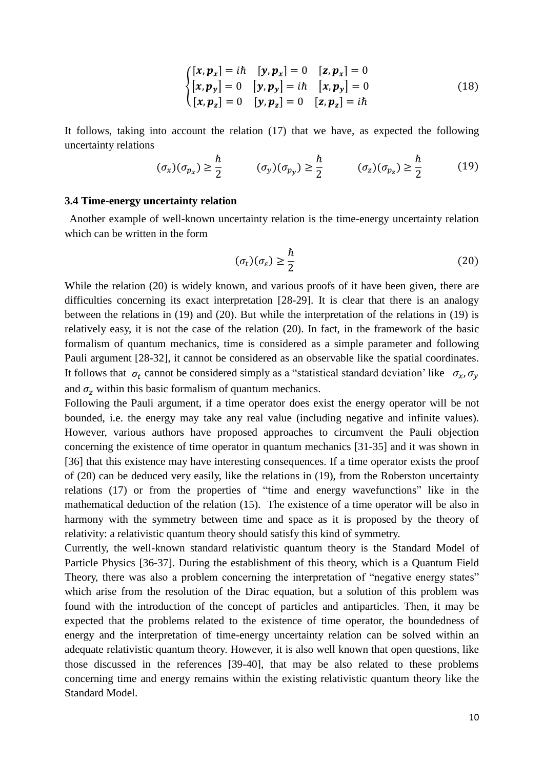$$
\begin{cases}\n[x, p_x] = i\hbar & [y, p_x] = 0 & [z, p_x] = 0 \\
[x, p_y] = 0 & [y, p_y] = i\hbar & [x, p_y] = 0 \\
[x, p_z] = 0 & [y, p_z] = 0 & [z, p_z] = i\hbar\n\end{cases}
$$
\n(18)

It follows, taking into account the relation (17) that we have, as expected the following uncertainty relations

$$
(\sigma_x)(\sigma_{p_x}) \ge \frac{\hbar}{2} \qquad (\sigma_y)(\sigma_{p_y}) \ge \frac{\hbar}{2} \qquad (\sigma_z)(\sigma_{p_z}) \ge \frac{\hbar}{2} \qquad (19)
$$

#### **3.4 Time-energy uncertainty relation**

 Another example of well-known uncertainty relation is the time-energy uncertainty relation which can be written in the form

$$
(\sigma_t)(\sigma_{\varepsilon}) \ge \frac{\hbar}{2} \tag{20}
$$

While the relation (20) is widely known, and various proofs of it have been given, there are difficulties concerning its exact interpretation [28-29]. It is clear that there is an analogy between the relations in (19) and (20). But while the interpretation of the relations in (19) is relatively easy, it is not the case of the relation (20). In fact, in the framework of the basic formalism of quantum mechanics, time is considered as a simple parameter and following Pauli argument [28-32], it cannot be considered as an observable like the spatial coordinates. It follows that  $\sigma_t$  cannot be considered simply as a "statistical standard deviation' like  $\sigma_x$ ,  $\sigma_y$ and  $\sigma$ <sub>z</sub> within this basic formalism of quantum mechanics.

Following the Pauli argument, if a time operator does exist the energy operator will be not bounded, i.e. the energy may take any real value (including negative and infinite values). However, various authors have proposed approaches to circumvent the Pauli objection concerning the existence of time operator in quantum mechanics [31-35] and it was shown in [36] that this existence may have interesting consequences. If a time operator exists the proof of (20) can be deduced very easily, like the relations in (19), from the Roberston uncertainty relations (17) or from the properties of "time and energy wavefunctions" like in the mathematical deduction of the relation (15). The existence of a time operator will be also in harmony with the symmetry between time and space as it is proposed by the theory of relativity: a relativistic quantum theory should satisfy this kind of symmetry.

Currently, the well-known standard relativistic quantum theory is the Standard Model of Particle Physics [36-37]. During the establishment of this theory, which is a Quantum Field Theory, there was also a problem concerning the interpretation of "negative energy states" which arise from the resolution of the Dirac equation, but a solution of this problem was found with the introduction of the concept of particles and antiparticles. Then, it may be expected that the problems related to the existence of time operator, the boundedness of energy and the interpretation of time-energy uncertainty relation can be solved within an adequate relativistic quantum theory. However, it is also well known that open questions, like those discussed in the references [39-40], that may be also related to these problems concerning time and energy remains within the existing relativistic quantum theory like the Standard Model.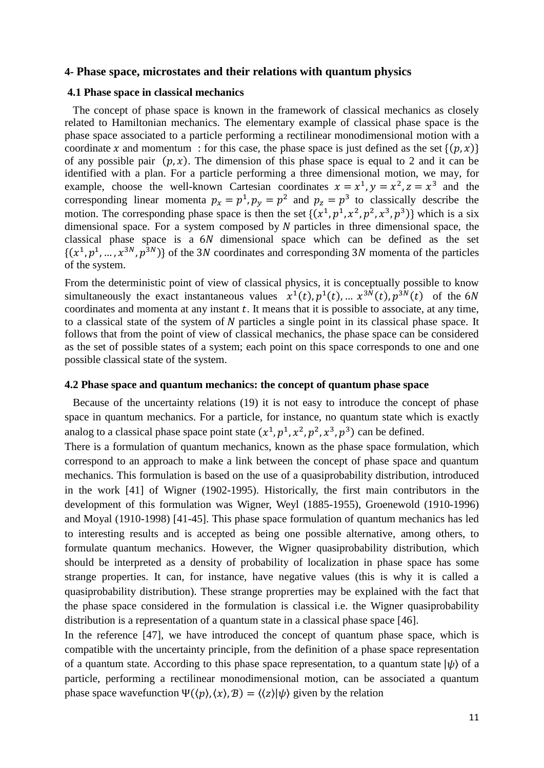#### **4- Phase space, microstates and their relations with quantum physics**

#### **4.1 Phase space in classical mechanics**

 The concept of phase space is known in the framework of classical mechanics as closely related to Hamiltonian mechanics. The elementary example of classical phase space is the phase space associated to a particle performing a rectilinear monodimensional motion with a coordinate x and momentum : for this case, the phase space is just defined as the set  $\{(p, x)\}\$ of any possible pair  $(p, x)$ . The dimension of this phase space is equal to 2 and it can be identified with a plan. For a particle performing a three dimensional motion, we may, for example, choose the well-known Cartesian coordinates  $x = x^1, y = x^2, z = x^3$  and the corresponding linear momenta  $p_x = p^1$ ,  $p_y = p^2$  and  $p_z = p^3$  to classically describe the motion. The corresponding phase space is then the set  $\{(x^1, p^1, x^2, p^2, x^3, p^3)\}$  which is a six dimensional space. For a system composed by  $N$  particles in three dimensional space, the classical phase space is a  $6N$  dimensional space which can be defined as the set  $\{(x^1, p^1, ..., x^{3N}, p^{3N})\}$  of the 3N coordinates and corresponding 3N momenta of the particles of the system.

From the deterministic point of view of classical physics, it is conceptually possible to know simultaneously the exact instantaneous values  $x^1(t)$ ,  $p^1(t)$ , ...  $x^{3N}(t)$ ,  $p^{3N}(t)$  of the 6N coordinates and momenta at any instant  $t$ . It means that it is possible to associate, at any time, to a classical state of the system of  $N$  particles a single point in its classical phase space. It follows that from the point of view of classical mechanics, the phase space can be considered as the set of possible states of a system; each point on this space corresponds to one and one possible classical state of the system.

## **4.2 Phase space and quantum mechanics: the concept of quantum phase space**

 Because of the uncertainty relations (19) it is not easy to introduce the concept of phase space in quantum mechanics. For a particle, for instance, no quantum state which is exactly analog to a classical phase space point state  $(x^1, p^1, x^2, p^2, x^3, p^3)$  can be defined.

There is a formulation of quantum mechanics, known as the phase space formulation, which correspond to an approach to make a link between the concept of phase space and quantum mechanics. This formulation is based on the use of a quasiprobability distribution, introduced in the work [41] of Wigner (1902-1995). Historically, the first main contributors in the development of this formulation was Wigner, Weyl (1885-1955), Groenewold (1910-1996) and Moyal (1910-1998) [41-45]. This phase space formulation of quantum mechanics has led to interesting results and is accepted as being one possible alternative, among others, to formulate quantum mechanics. However, the Wigner quasiprobability distribution, which should be interpreted as a density of probability of localization in phase space has some strange properties. It can, for instance, have negative values (this is why it is called a quasiprobability distribution). These strange proprerties may be explained with the fact that the phase space considered in the formulation is classical i.e. the Wigner quasiprobability distribution is a representation of a quantum state in a classical phase space [46].

In the reference [47], we have introduced the concept of quantum phase space, which is compatible with the uncertainty principle, from the definition of a phase space representation of a quantum state. According to this phase space representation, to a quantum state  $|\psi\rangle$  of a particle, performing a rectilinear monodimensional motion, can be associated a quantum phase space wavefunction  $\Psi(\langle p \rangle, \langle x \rangle, B) = \langle \langle z \rangle | \psi \rangle$  given by the relation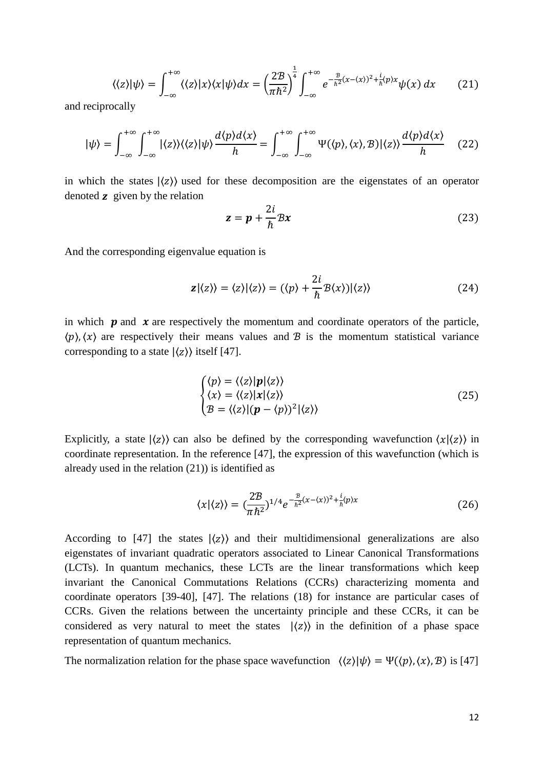$$
\langle \langle z \rangle | \psi \rangle = \int_{-\infty}^{+\infty} \langle \langle z \rangle | x \rangle \langle x | \psi \rangle dx = \left( \frac{2\mathcal{B}}{\pi \hbar^2} \right)^{\frac{1}{4}} \int_{-\infty}^{+\infty} e^{-\frac{\mathcal{B}}{\hbar^2} (x - \langle x \rangle)^2 + \frac{i}{\hbar} \langle p \rangle x} \psi(x) dx \tag{21}
$$

and reciprocally

$$
|\psi\rangle = \int_{-\infty}^{+\infty} \int_{-\infty}^{+\infty} |\langle z \rangle\rangle \langle \langle z \rangle| \psi \rangle \frac{d\langle p \rangle d\langle x \rangle}{h} = \int_{-\infty}^{+\infty} \int_{-\infty}^{+\infty} \Psi(\langle p \rangle, \langle x \rangle, \mathcal{B}) |\langle z \rangle\rangle \frac{d\langle p \rangle d\langle x \rangle}{h} \tag{22}
$$

in which the states  $\langle z \rangle$  used for these decomposition are the eigenstates of an operator denoted  $\boldsymbol{z}$  given by the relation

$$
z = p + \frac{2i}{\hbar} Bx \tag{23}
$$

And the corresponding eigenvalue equation is

$$
\mathbf{z}|\langle z\rangle\rangle = \langle z\rangle|\langle z\rangle\rangle = (\langle p\rangle + \frac{2i}{\hbar}\mathcal{B}\langle x\rangle)|\langle z\rangle\rangle
$$
 (24)

in which  $\boldsymbol{p}$  and  $\boldsymbol{x}$  are respectively the momentum and coordinate operators of the particle,  $\langle p \rangle$ ,  $\langle x \rangle$  are respectively their means values and  $\hat{B}$  is the momentum statistical variance corresponding to a state  $|\langle z \rangle \rangle$  itself [47].

$$
\begin{cases}\n\langle p \rangle = \langle \langle z \rangle |p| \langle z \rangle \rangle \\
\langle x \rangle = \langle \langle z \rangle |x| \langle z \rangle \rangle \\
\langle z \rangle = \langle \langle z \rangle |(p - \langle p \rangle)^2| \langle z \rangle \rangle\n\end{cases}
$$
\n(25)

Explicitly, a state  $|\langle z \rangle$  can also be defined by the corresponding wavefunction  $\langle x | \langle z \rangle \rangle$  in coordinate representation. In the reference [47], the expression of this wavefunction (which is already used in the relation (21)) is identified as

$$
\langle x | \langle z \rangle \rangle = \left( \frac{2\mathcal{B}}{\pi \hbar^2} \right)^{1/4} e^{-\frac{\mathcal{B}}{\hbar^2} (x - \langle x \rangle)^2 + \frac{i}{\hbar} \langle p \rangle x} \tag{26}
$$

According to  $[47]$  the states  $\langle z \rangle$  and their multidimensional generalizations are also eigenstates of invariant quadratic operators associated to Linear Canonical Transformations (LCTs). In quantum mechanics, these LCTs are the linear transformations which keep invariant the Canonical Commutations Relations (CCRs) characterizing momenta and coordinate operators [39-40], [47]. The relations (18) for instance are particular cases of CCRs. Given the relations between the uncertainty principle and these CCRs, it can be considered as very natural to meet the states  $|\langle z \rangle \rangle$  in the definition of a phase space representation of quantum mechanics.

The normalization relation for the phase space wavefunction  $\langle \langle z \rangle | \psi \rangle = \Psi(\langle p \rangle, \langle x \rangle, \mathcal{B})$  is [47]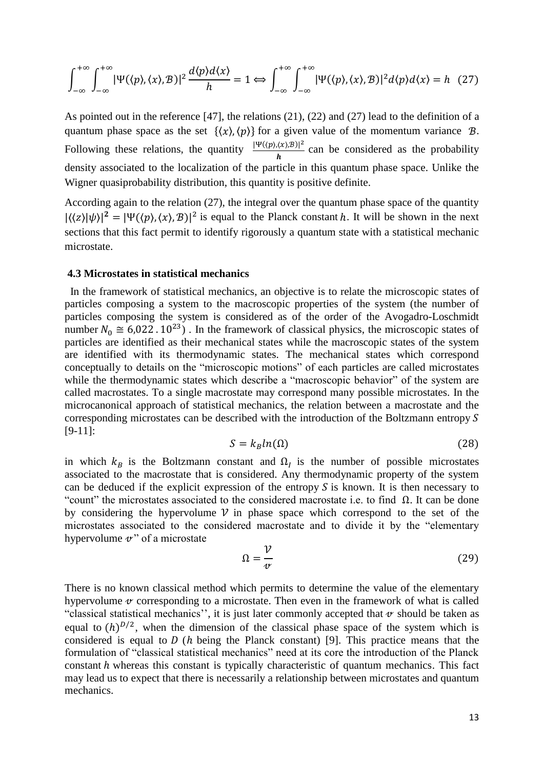$$
\int_{-\infty}^{+\infty} \int_{-\infty}^{+\infty} |\Psi(\langle p \rangle, \langle x \rangle, \mathcal{B})|^2 \frac{d\langle p \rangle d\langle x \rangle}{h} = 1 \Leftrightarrow \int_{-\infty}^{+\infty} \int_{-\infty}^{+\infty} |\Psi(\langle p \rangle, \langle x \rangle, \mathcal{B})|^2 d\langle p \rangle d\langle x \rangle = h \quad (27)
$$

As pointed out in the reference [47], the relations (21), (22) and (27) lead to the definition of a quantum phase space as the set  $\{\langle x \rangle, \langle p \rangle\}$  for a given value of the momentum variance  $\mathcal{B}$ . Following these relations, the quantity  $\frac{|\Psi(\langle p\rangle,\langle x\rangle,B)|^2}{I}$  $\frac{\partial (x_i, b_j)}{h}$  can be considered as the probability density associated to the localization of the particle in this quantum phase space. Unlike the Wigner quasiprobability distribution, this quantity is positive definite.

According again to the relation (27), the integral over the quantum phase space of the quantity  $|\langle \langle z | \psi \rangle|^2 = |\Psi(\langle p \rangle, \langle x \rangle, \mathcal{B})|^2$  is equal to the Planck constant h. It will be shown in the next sections that this fact permit to identify rigorously a quantum state with a statistical mechanic microstate.

#### **4.3 Microstates in statistical mechanics**

 In the framework of statistical mechanics, an objective is to relate the microscopic states of particles composing a system to the macroscopic properties of the system (the number of particles composing the system is considered as of the order of the Avogadro-Loschmidt number  $N_0 \approx 6.022$ .  $10^{23}$ ). In the framework of classical physics, the microscopic states of particles are identified as their mechanical states while the macroscopic states of the system are identified with its thermodynamic states. The mechanical states which correspond conceptually to details on the "microscopic motions" of each particles are called microstates while the thermodynamic states which describe a "macroscopic behavior" of the system are called macrostates. To a single macrostate may correspond many possible microstates. In the microcanonical approach of statistical mechanics, the relation between a macrostate and the corresponding microstates can be described with the introduction of the Boltzmann entropy S [9-11]:

$$
S = k_B \ln(\Omega) \tag{28}
$$

in which  $k_B$  is the Boltzmann constant and  $\Omega_l$  is the number of possible microstates associated to the macrostate that is considered. Any thermodynamic property of the system can be deduced if the explicit expression of the entropy  $S$  is known. It is then necessary to "count" the microstates associated to the considered macrostate i.e. to find  $\Omega$ . It can be done by considering the hypervolume  $\nu$  in phase space which correspond to the set of the microstates associated to the considered macrostate and to divide it by the "elementary hypervolume  $v$ " of a microstate  $\ddot{\phantom{0}}$ 

$$
\Omega = \frac{\mathcal{V}}{\mathcal{V}}
$$
\n(29)

There is no known classical method which permits to determine the value of the elementary hypervolume  $\alpha$  corresponding to a microstate. Then even in the framework of what is called "classical statistical mechanics", it is just later commonly accepted that  $\alpha$  should be taken as equal to  $(h)^{D/2}$ , when the dimension of the classical phase space of the system which is considered is equal to  $D(h)$  being the Planck constant) [9]. This practice means that the formulation of "classical statistical mechanics" need at its core the introduction of the Planck constant h whereas this constant is typically characteristic of quantum mechanics. This fact may lead us to expect that there is necessarily a relationship between microstates and quantum mechanics.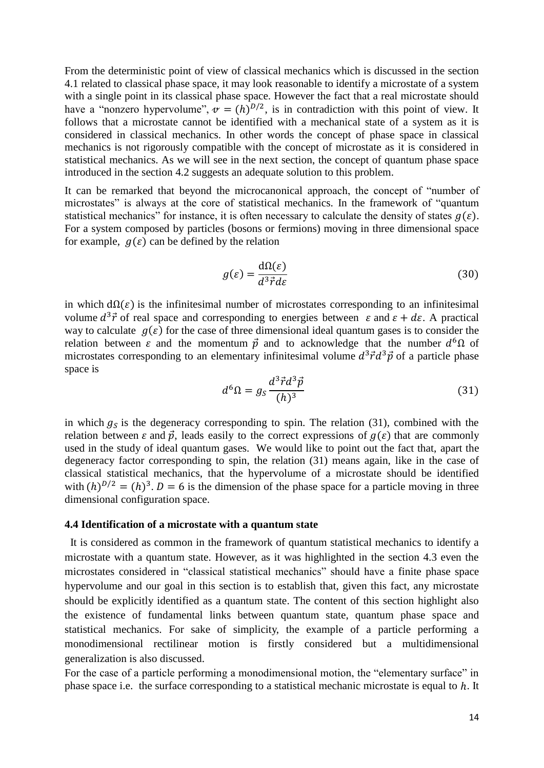From the deterministic point of view of classical mechanics which is discussed in the section 4.1 related to classical phase space, it may look reasonable to identify a microstate of a system with a single point in its classical phase space. However the fact that a real microstate should have a "nonzero hypervolume",  $\mathbf{v} = (h)^{D/2}$ , is in contradiction with this point of view. It follows that a microstate cannot be identified with a mechanical state of a system as it is considered in classical mechanics. In other words the concept of phase space in classical mechanics is not rigorously compatible with the concept of microstate as it is considered in statistical mechanics. As we will see in the next section, the concept of quantum phase space introduced in the section 4.2 suggests an adequate solution to this problem.

It can be remarked that beyond the microcanonical approach, the concept of "number of microstates" is always at the core of statistical mechanics. In the framework of "quantum statistical mechanics" for instance, it is often necessary to calculate the density of states  $q(\varepsilon)$ . For a system composed by particles (bosons or fermions) moving in three dimensional space for example,  $q(\varepsilon)$  can be defined by the relation

$$
g(\varepsilon) = \frac{\mathrm{d}\Omega(\varepsilon)}{d^3 \vec{r} d\varepsilon} \tag{30}
$$

in which  $d\Omega(\varepsilon)$  is the infinitesimal number of microstates corresponding to an infinitesimal volume  $d^3\vec{r}$  of real space and corresponding to energies between  $\varepsilon$  and  $\varepsilon + d\varepsilon$ . A practical way to calculate  $g(\varepsilon)$  for the case of three dimensional ideal quantum gases is to consider the relation between  $\varepsilon$  and the momentum  $\vec{p}$  and to acknowledge that the number  $d^6\Omega$  of microstates corresponding to an elementary infinitesimal volume  $d^3 \vec{r} d^3 \vec{p}$  of a particle phase space is

$$
d^6\Omega = g_S \frac{d^3 \vec{r} d^3 \vec{p}}{(h)^3}
$$
 (31)

in which  $g_s$  is the degeneracy corresponding to spin. The relation (31), combined with the relation between  $\varepsilon$  and  $\vec{p}$ , leads easily to the correct expressions of  $q(\varepsilon)$  that are commonly used in the study of ideal quantum gases. We would like to point out the fact that, apart the degeneracy factor corresponding to spin, the relation (31) means again, like in the case of classical statistical mechanics, that the hypervolume of a microstate should be identified with  $(h)^{D/2} = (h)^3$ .  $D = 6$  is the dimension of the phase space for a particle moving in three dimensional configuration space.

#### **4.4 Identification of a microstate with a quantum state**

It is considered as common in the framework of quantum statistical mechanics to identify a microstate with a quantum state. However, as it was highlighted in the section 4.3 even the microstates considered in "classical statistical mechanics" should have a finite phase space hypervolume and our goal in this section is to establish that, given this fact, any microstate should be explicitly identified as a quantum state. The content of this section highlight also the existence of fundamental links between quantum state, quantum phase space and statistical mechanics. For sake of simplicity, the example of a particle performing a monodimensional rectilinear motion is firstly considered but a multidimensional generalization is also discussed.

For the case of a particle performing a monodimensional motion, the "elementary surface" in phase space i.e. the surface corresponding to a statistical mechanic microstate is equal to ℎ. It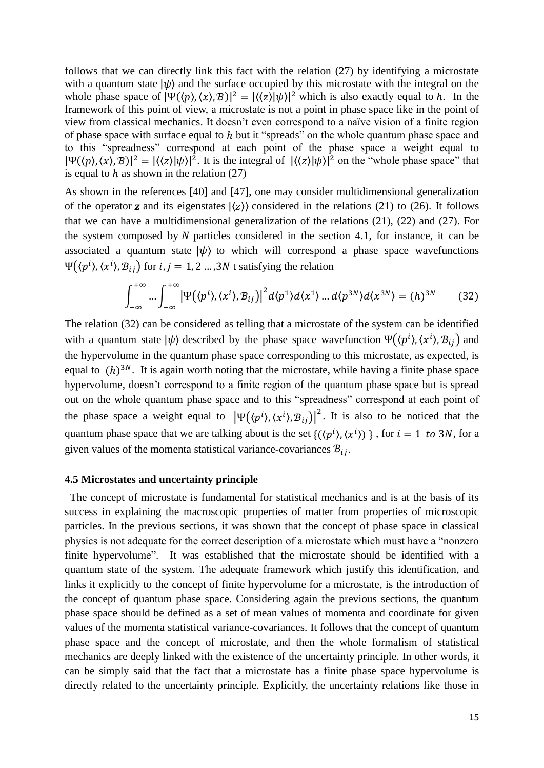follows that we can directly link this fact with the relation (27) by identifying a microstate with a quantum state  $|\psi\rangle$  and the surface occupied by this microstate with the integral on the whole phase space of  $|\Psi(\langle p\rangle, \langle x\rangle, B)|^2 = |\langle \langle z\rangle | \psi \rangle|^2$  which is also exactly equal to h. In the framework of this point of view, a microstate is not a point in phase space like in the point of view from classical mechanics. It doesn't even correspond to a naïve vision of a finite region of phase space with surface equal to  $h$  but it "spreads" on the whole quantum phase space and to this "spreadness" correspond at each point of the phase space a weight equal to  $|\Psi(\langle p\rangle, \langle x\rangle, B)|^2 = |\langle \langle z \rangle | \psi \rangle|^2$ . It is the integral of  $|\langle \langle z \rangle | \psi \rangle|^2$  on the "whole phase space" that is equal to  $h$  as shown in the relation (27)

As shown in the references [40] and [47], one may consider multidimensional generalization of the operator **z** and its eigenstates  $|\langle z \rangle$  considered in the relations (21) to (26). It follows that we can have a multidimensional generalization of the relations (21), (22) and (27). For the system composed by  $N$  particles considered in the section 4.1, for instance, it can be associated a quantum state  $|\psi\rangle$  to which will correspond a phase space wavefunctions  $\Psi((p^i), \langle x^i \rangle, \mathcal{B}_{ij})$  for  $i, j = 1, 2 ... , 3N$  t satisfying the relation

$$
\int_{-\infty}^{+\infty} \dots \int_{-\infty}^{+\infty} \left| \Psi(\langle p^i \rangle, \langle x^i \rangle, \mathcal{B}_{ij}) \right|^2 d\langle p^1 \rangle d\langle x^1 \rangle \dots d\langle p^{3N} \rangle d\langle x^{3N} \rangle = (h)^{3N} \tag{32}
$$

The relation (32) can be considered as telling that a microstate of the system can be identified with a quantum state  $|\psi\rangle$  described by the phase space wavefunction  $\Psi(\langle p^{i}\rangle, \langle x^{i}\rangle, \mathcal{B}_{ij})$  and the hypervolume in the quantum phase space corresponding to this microstate, as expected, is equal to  $(h)^{3N}$ . It is again worth noting that the microstate, while having a finite phase space hypervolume, doesn't correspond to a finite region of the quantum phase space but is spread out on the whole quantum phase space and to this "spreadness" correspond at each point of the phase space a weight equal to  $|\Psi(\langle p^{i} \rangle, \langle x^{i} \rangle, B_{ij})|^{2}$ . It is also to be noticed that the quantum phase space that we are talking about is the set  ${((p<sup>i</sup>), (x<sup>i</sup>)) }$ , for  $i = 1$  to 3N, for a given values of the momenta statistical variance-covariances  $B_{ij}$ .

## **4.5 Microstates and uncertainty principle**

The concept of microstate is fundamental for statistical mechanics and is at the basis of its success in explaining the macroscopic properties of matter from properties of microscopic particles. In the previous sections, it was shown that the concept of phase space in classical physics is not adequate for the correct description of a microstate which must have a "nonzero finite hypervolume". It was established that the microstate should be identified with a quantum state of the system. The adequate framework which justify this identification, and links it explicitly to the concept of finite hypervolume for a microstate, is the introduction of the concept of quantum phase space. Considering again the previous sections, the quantum phase space should be defined as a set of mean values of momenta and coordinate for given values of the momenta statistical variance-covariances. It follows that the concept of quantum phase space and the concept of microstate, and then the whole formalism of statistical mechanics are deeply linked with the existence of the uncertainty principle. In other words, it can be simply said that the fact that a microstate has a finite phase space hypervolume is directly related to the uncertainty principle. Explicitly, the uncertainty relations like those in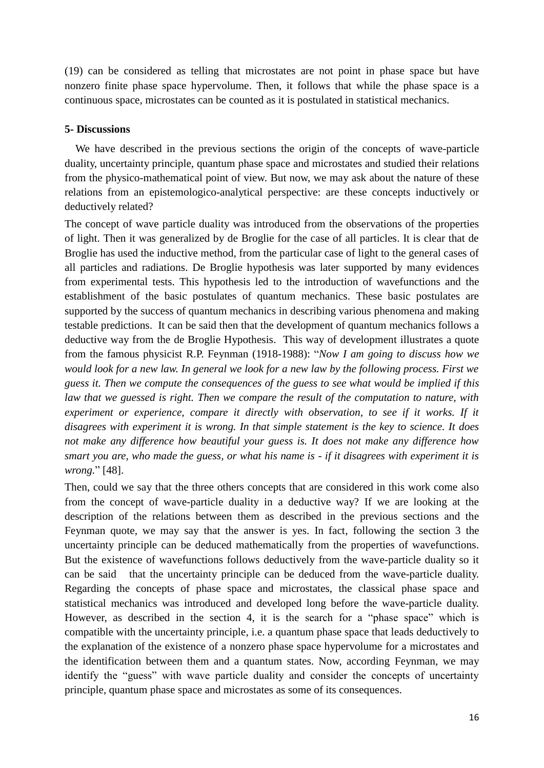(19) can be considered as telling that microstates are not point in phase space but have nonzero finite phase space hypervolume. Then, it follows that while the phase space is a continuous space, microstates can be counted as it is postulated in statistical mechanics.

# **5- Discussions**

We have described in the previous sections the origin of the concepts of wave-particle duality, uncertainty principle, quantum phase space and microstates and studied their relations from the physico-mathematical point of view. But now, we may ask about the nature of these relations from an epistemologico-analytical perspective: are these concepts inductively or deductively related?

The concept of wave particle duality was introduced from the observations of the properties of light. Then it was generalized by de Broglie for the case of all particles. It is clear that de Broglie has used the inductive method, from the particular case of light to the general cases of all particles and radiations. De Broglie hypothesis was later supported by many evidences from experimental tests. This hypothesis led to the introduction of wavefunctions and the establishment of the basic postulates of quantum mechanics. These basic postulates are supported by the success of quantum mechanics in describing various phenomena and making testable predictions. It can be said then that the development of quantum mechanics follows a deductive way from the de Broglie Hypothesis. This way of development illustrates a quote from the famous physicist R.P. Feynman (1918-1988): "*Now I am going to discuss how we would look for a new law. In general we look for a new law by the following process. First we guess it. Then we compute the consequences of the guess to see what would be implied if this law that we guessed is right. Then we compare the result of the computation to nature, with*  experiment or experience, compare it directly with observation, to see if it works. If it *disagrees with experiment it is wrong. In that simple statement is the key to science. It does not make any difference how beautiful your guess is. It does not make any difference how smart you are, who made the guess, or what his name is - if it disagrees with experiment it is wrong.*" [48].

Then, could we say that the three others concepts that are considered in this work come also from the concept of wave-particle duality in a deductive way? If we are looking at the description of the relations between them as described in the previous sections and the Feynman quote, we may say that the answer is yes. In fact, following the section 3 the uncertainty principle can be deduced mathematically from the properties of wavefunctions. But the existence of wavefunctions follows deductively from the wave-particle duality so it can be said that the uncertainty principle can be deduced from the wave-particle duality. Regarding the concepts of phase space and microstates, the classical phase space and statistical mechanics was introduced and developed long before the wave-particle duality. However, as described in the section 4, it is the search for a "phase space" which is compatible with the uncertainty principle, i.e. a quantum phase space that leads deductively to the explanation of the existence of a nonzero phase space hypervolume for a microstates and the identification between them and a quantum states. Now, according Feynman, we may identify the "guess" with wave particle duality and consider the concepts of uncertainty principle, quantum phase space and microstates as some of its consequences.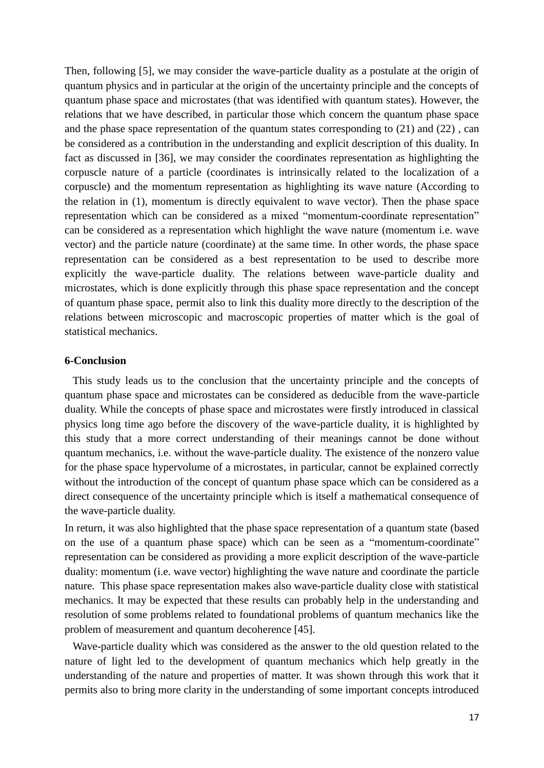Then, following [5], we may consider the wave-particle duality as a postulate at the origin of quantum physics and in particular at the origin of the uncertainty principle and the concepts of quantum phase space and microstates (that was identified with quantum states). However, the relations that we have described, in particular those which concern the quantum phase space and the phase space representation of the quantum states corresponding to (21) and (22) , can be considered as a contribution in the understanding and explicit description of this duality. In fact as discussed in [36], we may consider the coordinates representation as highlighting the corpuscle nature of a particle (coordinates is intrinsically related to the localization of a corpuscle) and the momentum representation as highlighting its wave nature (According to the relation in (1), momentum is directly equivalent to wave vector). Then the phase space representation which can be considered as a mixed "momentum-coordinate representation" can be considered as a representation which highlight the wave nature (momentum i.e. wave vector) and the particle nature (coordinate) at the same time. In other words, the phase space representation can be considered as a best representation to be used to describe more explicitly the wave-particle duality. The relations between wave-particle duality and microstates, which is done explicitly through this phase space representation and the concept of quantum phase space, permit also to link this duality more directly to the description of the relations between microscopic and macroscopic properties of matter which is the goal of statistical mechanics.

## **6-Conclusion**

 This study leads us to the conclusion that the uncertainty principle and the concepts of quantum phase space and microstates can be considered as deducible from the wave-particle duality. While the concepts of phase space and microstates were firstly introduced in classical physics long time ago before the discovery of the wave-particle duality, it is highlighted by this study that a more correct understanding of their meanings cannot be done without quantum mechanics, i.e. without the wave-particle duality. The existence of the nonzero value for the phase space hypervolume of a microstates, in particular, cannot be explained correctly without the introduction of the concept of quantum phase space which can be considered as a direct consequence of the uncertainty principle which is itself a mathematical consequence of the wave-particle duality.

In return, it was also highlighted that the phase space representation of a quantum state (based on the use of a quantum phase space) which can be seen as a "momentum-coordinate" representation can be considered as providing a more explicit description of the wave-particle duality: momentum (i.e. wave vector) highlighting the wave nature and coordinate the particle nature. This phase space representation makes also wave-particle duality close with statistical mechanics. It may be expected that these results can probably help in the understanding and resolution of some problems related to foundational problems of quantum mechanics like the problem of measurement and quantum decoherence [45].

 Wave-particle duality which was considered as the answer to the old question related to the nature of light led to the development of quantum mechanics which help greatly in the understanding of the nature and properties of matter. It was shown through this work that it permits also to bring more clarity in the understanding of some important concepts introduced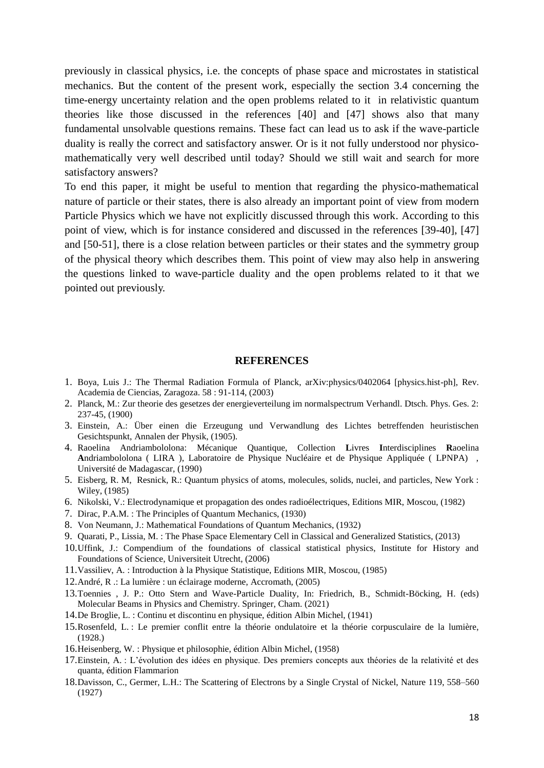previously in classical physics, i.e. the concepts of phase space and microstates in statistical mechanics. But the content of the present work, especially the section 3.4 concerning the time-energy uncertainty relation and the open problems related to it in relativistic quantum theories like those discussed in the references [40] and [47] shows also that many fundamental unsolvable questions remains. These fact can lead us to ask if the wave-particle duality is really the correct and satisfactory answer. Or is it not fully understood nor physicomathematically very well described until today? Should we still wait and search for more satisfactory answers?

To end this paper, it might be useful to mention that regarding the physico-mathematical nature of particle or their states, there is also already an important point of view from modern Particle Physics which we have not explicitly discussed through this work. According to this point of view, which is for instance considered and discussed in the references [39-40], [47] and [50-51], there is a close relation between particles or their states and the symmetry group of the physical theory which describes them. This point of view may also help in answering the questions linked to wave-particle duality and the open problems related to it that we pointed out previously.

#### **REFERENCES**

- 1. Boya, Luis J.: The Thermal Radiation Formula of Planck, arXiv:physics/0402064 [physics.hist-ph], Rev. Academia de Ciencias, Zaragoza. 58 : 91-114, (2003)
- 2. Planck, M.: Zur theorie des gesetzes der energieverteilung im normalspectrum Verhandl. Dtsch. Phys. Ges. 2: 237-45, (1900)
- 3. Einstein, A.: Über einen die Erzeugung und Verwandlung des Lichtes betreffenden heuristischen Gesichtspunkt, Annalen der Physik, (1905).
- 4. Raoelina Andriambololona: Mécanique Quantique, Collection **L**ivres **I**nterdisciplines **R**aoelina **A**ndriambololona ( LIRA ), Laboratoire de Physique Nucléaire et de Physique Appliquée ( LPNPA) , Université de Madagascar, (1990)
- 5. Eisberg, R. M, Resnick, R.: Quantum physics of atoms, molecules, solids, nuclei, and particles, New York : Wiley, (1985)
- 6. Nikolski, V.: Electrodynamique et propagation des ondes radioélectriques, Editions MIR, Moscou, (1982)
- 7. Dirac, P.A.M. : The Principles of Quantum Mechanics, (1930)
- 8. Von Neumann, J.: Mathematical Foundations of Quantum Mechanics, (1932)
- 9. Quarati, P., Lissia, M. : The Phase Space Elementary Cell in Classical and Generalized Statistics, (2013)
- 10.Uffink, J.: Compendium of the foundations of classical statistical physics, Institute for History and Foundations of Science, Universiteit Utrecht, (2006)
- 11.Vassiliev, A. : Introduction à la Physique Statistique, Editions MIR, Moscou, (1985)
- 12.André, R .: La lumière : un éclairage moderne, Accromath, (2005)
- 13.Toennies , J. P.: Otto Stern and Wave-Particle Duality, In: Friedrich, B., Schmidt-Böcking, H. (eds) Molecular Beams in Physics and Chemistry. Springer, Cham. (2021)
- 14.De Broglie, L. : Continu et discontinu en physique, édition Albin Michel, (1941)
- 15.Rosenfeld, L. : Le premier conflit entre la théorie ondulatoire et la théorie corpusculaire de la lumière, (1928.)
- 16.Heisenberg, W. : Physique et philosophie, édition Albin Michel, (1958)
- 17.Einstein, A. : L'évolution des idées en physique. Des premiers concepts aux théories de la relativité et des quanta, édition Flammarion
- 18.Davisson, C., Germer, L.H.: The Scattering of Electrons by a Single Crystal of Nickel, Nature 119, 558–560 (1927)